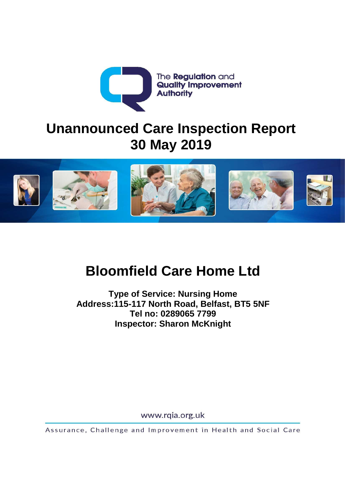

# **Unannounced Care Inspection Report 30 May 2019**



# **Bloomfield Care Home Ltd**

**Type of Service: Nursing Home Address:115-117 North Road, Belfast, BT5 5NF Tel no: 0289065 7799 Inspector: Sharon McKnight** 

www.rqia.org.uk

Assurance, Challenge and Improvement in Health and Social Care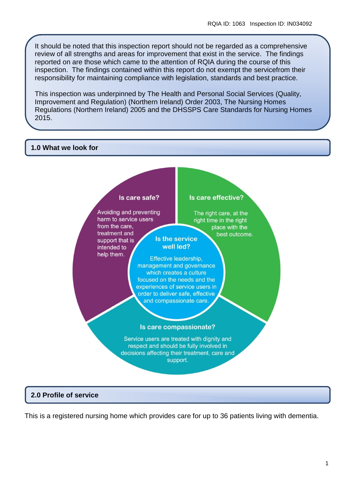It should be noted that this inspection report should not be regarded as a comprehensive review of all strengths and areas for improvement that exist in the service. The findings reported on are those which came to the attention of RQIA during the course of this inspection. The findings contained within this report do not exempt the servicefrom their responsibility for maintaining compliance with legislation, standards and best practice.

This inspection was underpinned by The Health and Personal Social Services (Quality, Improvement and Regulation) (Northern Ireland) Order 2003, The Nursing Homes Regulations (Northern Ireland) 2005 and the DHSSPS Care Standards for Nursing Homes 2015.

#### **1.0 What we look for**



#### **2.0 Profile of service**

This is a registered nursing home which provides care for up to 36 patients living with dementia.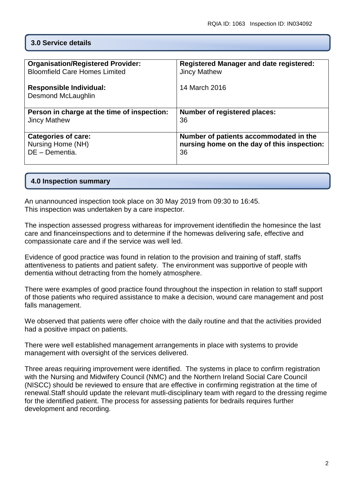#### **3.0 Service details**

| <b>Organisation/Registered Provider:</b>                    | <b>Registered Manager and date registered:</b> |
|-------------------------------------------------------------|------------------------------------------------|
| <b>Bloomfield Care Homes Limited</b>                        | <b>Jincy Mathew</b>                            |
| <b>Responsible Individual:</b><br><b>Desmond McLaughlin</b> | 14 March 2016                                  |
| Person in charge at the time of inspection:                 | <b>Number of registered places:</b>            |
| <b>Jincy Mathew</b>                                         | 36                                             |
| <b>Categories of care:</b>                                  | Number of patients accommodated in the         |
| Nursing Home (NH)                                           | nursing home on the day of this inspection:    |
| DE - Dementia.                                              | 36                                             |

#### **4.0 Inspection summary**

An unannounced inspection took place on 30 May 2019 from 09:30 to 16:45. This inspection was undertaken by a care inspector.

The inspection assessed progress withareas for improvement identifiedin the homesince the last care and financeinspections and to determine if the homewas delivering safe, effective and compassionate care and if the service was well led.

Evidence of good practice was found in relation to the provision and training of staff, staffs attentiveness to patients and patient safety. The environment was supportive of people with dementia without detracting from the homely atmosphere.

There were examples of good practice found throughout the inspection in relation to staff support of those patients who required assistance to make a decision, wound care management and post falls management.

We observed that patients were offer choice with the daily routine and that the activities provided had a positive impact on patients.

There were well established management arrangements in place with systems to provide management with oversight of the services delivered.

Three areas requiring improvement were identified. The systems in place to confirm registration with the Nursing and Midwifery Council (NMC) and the Northern Ireland Social Care Council (NISCC) should be reviewed to ensure that are effective in confirming registration at the time of renewal.Staff should update the relevant mutli-disciplinary team with regard to the dressing regime for the identified patient. The process for assessing patients for bedrails requires further development and recording.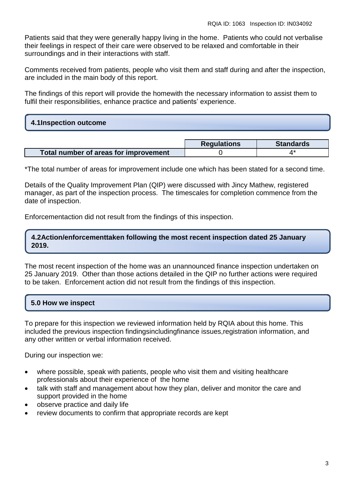Patients said that they were generally happy living in the home. Patients who could not verbalise their feelings in respect of their care were observed to be relaxed and comfortable in their surroundings and in their interactions with staff.

Comments received from patients, people who visit them and staff during and after the inspection, are included in the main body of this report.

The findings of this report will provide the homewith the necessary information to assist them to fulfil their responsibilities, enhance practice and patients' experience.

## **4.1Inspection outcome**

|                                       | <b>Requlations</b> | <b>Standards</b> |
|---------------------------------------|--------------------|------------------|
| Total number of areas for improvement |                    |                  |

\*The total number of areas for improvement include one which has been stated for a second time.

Details of the Quality Improvement Plan (QIP) were discussed with Jincy Mathew, registered manager, as part of the inspection process. The timescales for completion commence from the date of inspection.

Enforcementaction did not result from the findings of this inspection.

#### **4.2Action/enforcementtaken following the most recent inspection dated 25 January 2019.**

The most recent inspection of the home was an unannounced finance inspection undertaken on 25 January 2019. Other than those actions detailed in the QIP no further actions were required to be taken. Enforcement action did not result from the findings of this inspection.

#### **5.0 How we inspect**

To prepare for this inspection we reviewed information held by RQIA about this home. This included the previous inspection findingsincludingfinance issues,registration information, and any other written or verbal information received.

During our inspection we:

- where possible, speak with patients, people who visit them and visiting healthcare professionals about their experience of the home
- talk with staff and management about how they plan, deliver and monitor the care and support provided in the home
- observe practice and daily life
- review documents to confirm that appropriate records are kept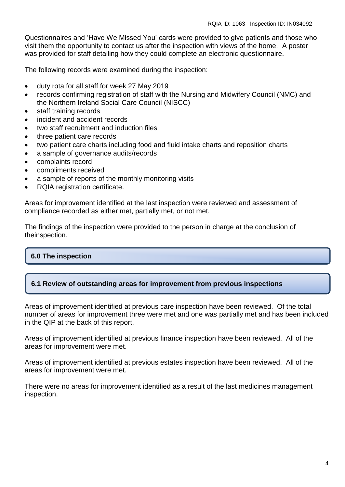Questionnaires and 'Have We Missed You' cards were provided to give patients and those who visit them the opportunity to contact us after the inspection with views of the home. A poster was provided for staff detailing how they could complete an electronic questionnaire.

The following records were examined during the inspection:

- duty rota for all staff for week 27 May 2019
- records confirming registration of staff with the Nursing and Midwifery Council (NMC) and the Northern Ireland Social Care Council (NISCC)
- staff training records
- incident and accident records
- two staff recruitment and induction files
- three patient care records
- two patient care charts including food and fluid intake charts and reposition charts
- a sample of governance audits/records
- complaints record
- compliments received
- a sample of reports of the monthly monitoring visits
- RQIA registration certificate.

Areas for improvement identified at the last inspection were reviewed and assessment of compliance recorded as either met, partially met, or not met.

The findings of the inspection were provided to the person in charge at the conclusion of theinspection.

#### **6.0 The inspection**

#### **6.1 Review of outstanding areas for improvement from previous inspections**

Areas of improvement identified at previous care inspection have been reviewed. Of the total number of areas for improvement three were met and one was partially met and has been included in the QIP at the back of this report.

Areas of improvement identified at previous finance inspection have been reviewed. All of the areas for improvement were met.

Areas of improvement identified at previous estates inspection have been reviewed. All of the areas for improvement were met.

There were no areas for improvement identified as a result of the last medicines management inspection.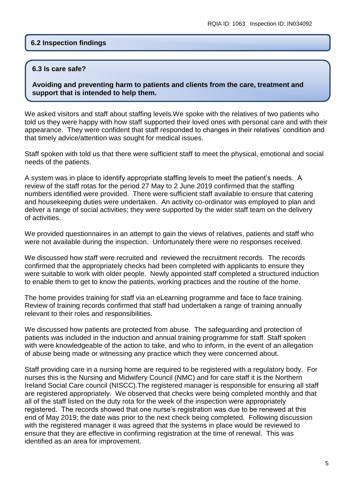#### **6.2 Inspection findings**

#### **6.3 Is care safe?**

**Avoiding and preventing harm to patients and clients from the care, treatment and support that is intended to help them.**

We asked visitors and staff about staffing levels.We spoke with the relatives of two patients who told us they were happy with how staff supported their loved ones with personal care and with their appearance. They were confident that staff responded to changes in their relatives' condition and that timely advice/attention was sought for medical issues.

Staff spoken with told us that there were sufficient staff to meet the physical, emotional and social needs of the patients.

A system was in place to identify appropriate staffing levels to meet the patient's needs. A review of the staff rotas for the period 27 May to 2 June 2019 confirmed that the staffing numbers identified were provided. There were sufficient staff available to ensure that catering and housekeeping duties were undertaken. An activity co-ordinator was employed to plan and deliver a range of social activities; they were supported by the wider staff team on the delivery of activities.

We provided questionnaires in an attempt to gain the views of relatives, patients and staff who were not available during the inspection. Unfortunately there were no responses received.

We discussed how staff were recruited and reviewed the recruitment records. The records confirmed that the appropriately checks had been completed with applicants to ensure they were suitable to work with older people. Newly appointed staff completed a structured induction to enable them to get to know the patients, working practices and the routine of the home.

The home provides training for staff via an eLearning programme and face to face training. Review of training records confirmed that staff had undertaken a range of training annually relevant to their roles and responsibilities.

We discussed how patients are protected from abuse. The safeguarding and protection of patients was included in the induction and annual training programme for staff. Staff spoken with were knowledgeable of the action to take, and who to inform, in the event of an allegation of abuse being made or witnessing any practice which they were concerned about.

Staff providing care in a nursing home are required to be registered with a regulatory body. For nurses this is the Nursing and Midwifery Council (NMC) and for care staff it is the Northern Ireland Social Care council (NISCC).The registered manager is responsible for ensuring all staff are registered appropriately. We observed that checks were being completed monthly and that all of the staff listed on the duty rota for the week of the inspection were appropriately registered. The records showed that one nurse's registration was due to be renewed at this end of May 2019; the date was prior to the next check being completed. Following discussion with the registered manager it was agreed that the systems in place would be reviewed to ensure that they are effective in confirming registration at the time of renewal. This was identified as an area for improvement.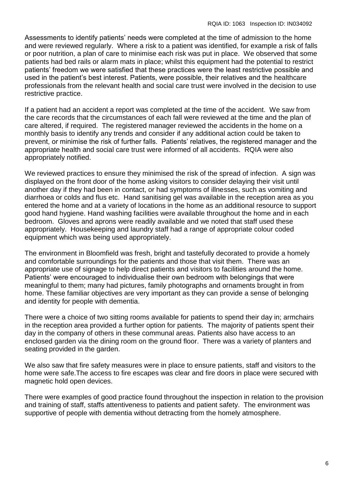Assessments to identify patients' needs were completed at the time of admission to the home and were reviewed regularly. Where a risk to a patient was identified, for example a risk of falls or poor nutrition, a plan of care to minimise each risk was put in place. We observed that some patients had bed rails or alarm mats in place; whilst this equipment had the potential to restrict patients' freedom we were satisfied that these practices were the least restrictive possible and used in the patient's best interest. Patients, were possible, their relatives and the healthcare professionals from the relevant health and social care trust were involved in the decision to use restrictive practice.

If a patient had an accident a report was completed at the time of the accident. We saw from the care records that the circumstances of each fall were reviewed at the time and the plan of care altered, if required. The registered manager reviewed the accidents in the home on a monthly basis to identify any trends and consider if any additional action could be taken to prevent, or minimise the risk of further falls. Patients' relatives, the registered manager and the appropriate health and social care trust were informed of all accidents. RQIA were also appropriately notified.

We reviewed practices to ensure they minimised the risk of the spread of infection. A sign was displayed on the front door of the home asking visitors to consider delaying their visit until another day if they had been in contact, or had symptoms of illnesses, such as vomiting and diarrhoea or colds and flus etc. Hand sanitising gel was available in the reception area as you entered the home and at a variety of locations in the home as an additional resource to support good hand hygiene. Hand washing facilities were available throughout the home and in each bedroom. Gloves and aprons were readily available and we noted that staff used these appropriately. Housekeeping and laundry staff had a range of appropriate colour coded equipment which was being used appropriately.

The environment in Bloomfield was fresh, bright and tastefully decorated to provide a homely and comfortable surroundings for the patients and those that visit them. There was an appropriate use of signage to help direct patients and visitors to facilities around the home. Patients' were encouraged to individualise their own bedroom with belongings that were meaningful to them; many had pictures, family photographs and ornaments brought in from home. These familiar objectives are very important as they can provide a sense of belonging and identity for people with dementia.

There were a choice of two sitting rooms available for patients to spend their day in; armchairs in the reception area provided a further option for patients. The majority of patients spent their day in the company of others in these communal areas. Patients also have access to an enclosed garden via the dining room on the ground floor. There was a variety of planters and seating provided in the garden.

We also saw that fire safety measures were in place to ensure patients, staff and visitors to the home were safe.The access to fire escapes was clear and fire doors in place were secured with magnetic hold open devices.

There were examples of good practice found throughout the inspection in relation to the provision and training of staff, staffs attentiveness to patients and patient safety. The environment was supportive of people with dementia without detracting from the homely atmosphere.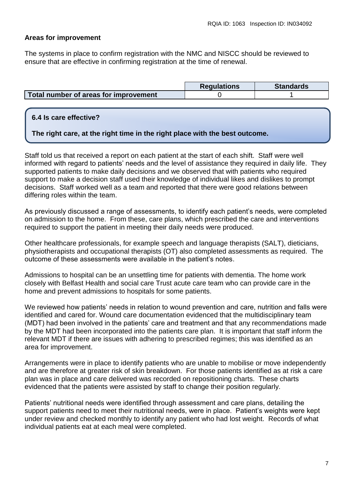#### **Areas for improvement**

The systems in place to confirm registration with the NMC and NISCC should be reviewed to ensure that are effective in confirming registration at the time of renewal.

|                                              | <b>Regulations</b> | <b>Standards</b> |
|----------------------------------------------|--------------------|------------------|
| <b>Total number of areas for improvement</b> |                    |                  |

#### **6.4 Is care effective?**

**The right care, at the right time in the right place with the best outcome.**

Staff told us that received a report on each patient at the start of each shift. Staff were well informed with regard to patients' needs and the level of assistance they required in daily life. They supported patients to make daily decisions and we observed that with patients who required support to make a decision staff used their knowledge of individual likes and dislikes to prompt decisions. Staff worked well as a team and reported that there were good relations between differing roles within the team.

As previously discussed a range of assessments, to identify each patient's needs, were completed on admission to the home. From these, care plans, which prescribed the care and interventions required to support the patient in meeting their daily needs were produced.

Other healthcare professionals, for example speech and language therapists (SALT), dieticians, physiotherapists and occupational therapists (OT) also completed assessments as required. The outcome of these assessments were available in the patient's notes.

Admissions to hospital can be an unsettling time for patients with dementia. The home work closely with Belfast Health and social care Trust acute care team who can provide care in the home and prevent admissions to hospitals for some patients.

We reviewed how patients' needs in relation to wound prevention and care, nutrition and falls were identified and cared for. Wound care documentation evidenced that the multidisciplinary team (MDT) had been involved in the patients' care and treatment and that any recommendations made by the MDT had been incorporated into the patients care plan. It is important that staff inform the relevant MDT if there are issues with adhering to prescribed regimes; this was identified as an area for improvement.

Arrangements were in place to identify patients who are unable to mobilise or move independently and are therefore at greater risk of skin breakdown. For those patients identified as at risk a care plan was in place and care delivered was recorded on repositioning charts. These charts evidenced that the patients were assisted by staff to change their position regularly.

Patients' nutritional needs were identified through assessment and care plans, detailing the support patients need to meet their nutritional needs, were in place. Patient's weights were kept under review and checked monthly to identify any patient who had lost weight. Records of what individual patients eat at each meal were completed.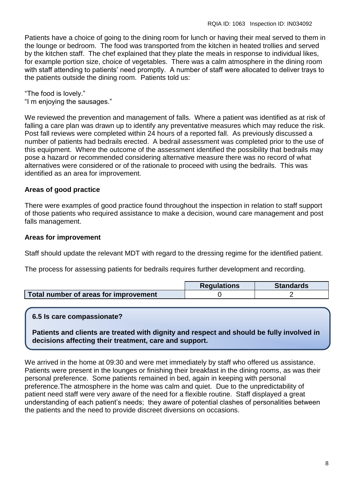Patients have a choice of going to the dining room for lunch or having their meal served to them in the lounge or bedroom. The food was transported from the kitchen in heated trollies and served by the kitchen staff. The chef explained that they plate the meals in response to individual likes, for example portion size, choice of vegetables. There was a calm atmosphere in the dining room with staff attending to patients' need promptly. A number of staff were allocated to deliver trays to the patients outside the dining room. Patients told us:

"The food is lovely."

"I m enjoying the sausages."

We reviewed the prevention and management of falls. Where a patient was identified as at risk of falling a care plan was drawn up to identify any preventative measures which may reduce the risk. Post fall reviews were completed within 24 hours of a reported fall. As previously discussed a number of patients had bedrails erected. A bedrail assessment was completed prior to the use of this equipment. Where the outcome of the assessment identified the possibility that bedrails may pose a hazard or recommended considering alternative measure there was no record of what alternatives were considered or of the rationale to proceed with using the bedrails. This was identified as an area for improvement.

#### **Areas of good practice**

There were examples of good practice found throughout the inspection in relation to staff support of those patients who required assistance to make a decision, wound care management and post falls management.

#### **Areas for improvement**

Staff should update the relevant MDT with regard to the dressing regime for the identified patient.

The process for assessing patients for bedrails requires further development and recording.

|                                       | <b>Requlations</b> | <b>Standards</b> |
|---------------------------------------|--------------------|------------------|
| Total number of areas for improvement |                    |                  |

#### **6.5 Is care compassionate?**

**Patients and clients are treated with dignity and respect and should be fully involved in decisions affecting their treatment, care and support.**

We arrived in the home at 09:30 and were met immediately by staff who offered us assistance. Patients were present in the lounges or finishing their breakfast in the dining rooms, as was their personal preference. Some patients remained in bed, again in keeping with personal preference.The atmosphere in the home was calm and quiet. Due to the unpredictability of patient need staff were very aware of the need for a flexible routine. Staff displayed a great understanding of each patient's needs; they aware of potential clashes of personalities between the patients and the need to provide discreet diversions on occasions.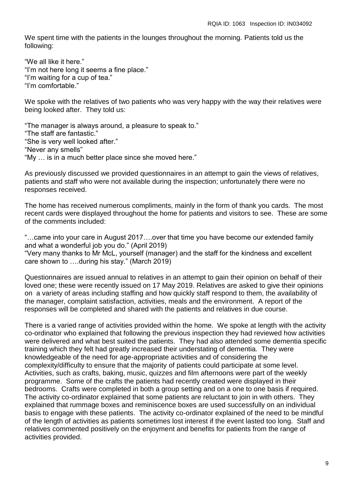We spent time with the patients in the lounges throughout the morning. Patients told us the following:

"We all like it here." "I'm not here long it seems a fine place." "I'm waiting for a cup of tea." "I'm comfortable."

We spoke with the relatives of two patients who was very happy with the way their relatives were being looked after. They told us:

"The manager is always around, a pleasure to speak to." "The staff are fantastic." "She is very well looked after." "Never any smells" "My … is in a much better place since she moved here."

As previously discussed we provided questionnaires in an attempt to gain the views of relatives, patients and staff who were not available during the inspection; unfortunately there were no responses received.

The home has received numerous compliments, mainly in the form of thank you cards. The most recent cards were displayed throughout the home for patients and visitors to see. These are some of the comments included:

"…came into your care in August 2017….over that time you have become our extended family and what a wonderful job you do." (April 2019) "Very many thanks to Mr McL, yourself (manager) and the staff for the kindness and excellent care shown to ….during his stay." (March 2019)

Questionnaires are issued annual to relatives in an attempt to gain their opinion on behalf of their loved one; these were recently issued on 17 May 2019. Relatives are asked to give their opinions on a variety of areas including staffing and how quickly staff respond to them, the availability of the manager, complaint satisfaction, activities, meals and the environment. A report of the responses will be completed and shared with the patients and relatives in due course.

There is a varied range of activities provided within the home. We spoke at length with the activity co-ordinator who explained that following the previous inspection they had reviewed how activities were delivered and what best suited the patients. They had also attended some dementia specific training which they felt had greatly increased their understating of dementia. They were knowledgeable of the need for age-appropriate activities and of considering the complexity/difficulty to ensure that the majority of patients could participate at some level. Activities, such as crafts, baking, music, quizzes and film afternoons were part of the weekly programme. Some of the crafts the patients had recently created were displayed in their bedrooms. Crafts were completed in both a group setting and on a one to one basis if required. The activity co-ordinator explained that some patients are reluctant to join in with others. They explained that rummage boxes and reminiscence boxes are used successfully on an individual basis to engage with these patients. The activity co-ordinator explained of the need to be mindful of the length of activities as patients sometimes lost interest if the event lasted too long. Staff and relatives commented positively on the enjoyment and benefits for patients from the range of activities provided.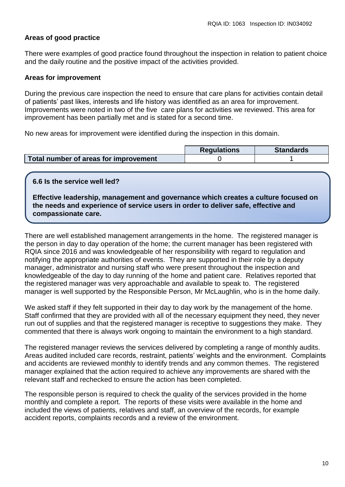#### **Areas of good practice**

There were examples of good practice found throughout the inspection in relation to patient choice and the daily routine and the positive impact of the activities provided.

#### **Areas for improvement**

During the previous care inspection the need to ensure that care plans for activities contain detail of patients' past likes, interests and life history was identified as an area for improvement. Improvements were noted in two of the five care plans for activities we reviewed. This area for improvement has been partially met and is stated for a second time.

No new areas for improvement were identified during the inspection in this domain.

|                                       | <b>Regulations</b> | <b>Standards</b> |
|---------------------------------------|--------------------|------------------|
| Total number of areas for improvement |                    |                  |

**6.6 Is the service well led?**

**Effective leadership, management and governance which creates a culture focused on the needs and experience of service users in order to deliver safe, effective and compassionate care.**

There are well established management arrangements in the home. The registered manager is the person in day to day operation of the home; the current manager has been registered with RQIA since 2016 and was knowledgeable of her responsibility with regard to regulation and notifying the appropriate authorities of events. They are supported in their role by a deputy manager, administrator and nursing staff who were present throughout the inspection and knowledgeable of the day to day running of the home and patient care. Relatives reported that the registered manager was very approachable and available to speak to. The registered manager is well supported by the Responsible Person, Mr McLaughlin, who is in the home daily.

We asked staff if they felt supported in their day to day work by the management of the home. Staff confirmed that they are provided with all of the necessary equipment they need, they never run out of supplies and that the registered manager is receptive to suggestions they make. They commented that there is always work ongoing to maintain the environment to a high standard.

The registered manager reviews the services delivered by completing a range of monthly audits. Areas audited included care records, restraint, patients' weights and the environment. Complaints and accidents are reviewed monthly to identify trends and any common themes. The registered manager explained that the action required to achieve any improvements are shared with the relevant staff and rechecked to ensure the action has been completed.

The responsible person is required to check the quality of the services provided in the home monthly and complete a report. The reports of these visits were available in the home and included the views of patients, relatives and staff, an overview of the records, for example accident reports, complaints records and a review of the environment.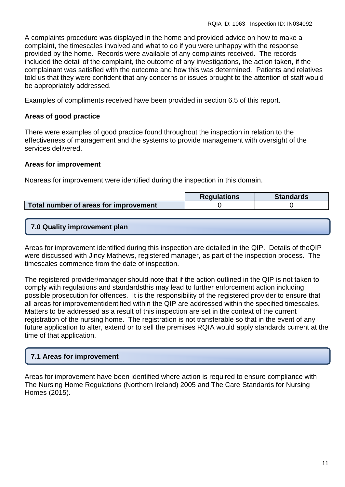A complaints procedure was displayed in the home and provided advice on how to make a complaint, the timescales involved and what to do if you were unhappy with the response provided by the home. Records were available of any complaints received. The records included the detail of the complaint, the outcome of any investigations, the action taken, if the complainant was satisfied with the outcome and how this was determined. Patients and relatives told us that they were confident that any concerns or issues brought to the attention of staff would be appropriately addressed.

Examples of compliments received have been provided in section 6.5 of this report.

#### **Areas of good practice**

There were examples of good practice found throughout the inspection in relation to the effectiveness of management and the systems to provide management with oversight of the services delivered.

#### **Areas for improvement**

Noareas for improvement were identified during the inspection in this domain.

|                                       | <b>Regulations</b> | <b>Standards</b> |
|---------------------------------------|--------------------|------------------|
| Total number of areas for improvement |                    |                  |

### **7.0 Quality improvement plan**

Areas for improvement identified during this inspection are detailed in the QIP. Details of theQIP were discussed with Jincy Mathews, registered manager, as part of the inspection process. The timescales commence from the date of inspection.

The registered provider/manager should note that if the action outlined in the QIP is not taken to comply with regulations and standardsthis may lead to further enforcement action including possible prosecution for offences. It is the responsibility of the registered provider to ensure that all areas for improvementidentified within the QIP are addressed within the specified timescales. Matters to be addressed as a result of this inspection are set in the context of the current registration of the nursing home. The registration is not transferable so that in the event of any future application to alter, extend or to sell the premises RQIA would apply standards current at the time of that application.

## **7.1 Areas for improvement**

Areas for improvement have been identified where action is required to ensure compliance with The Nursing Home Regulations (Northern Ireland) 2005 and The Care Standards for Nursing Homes (2015).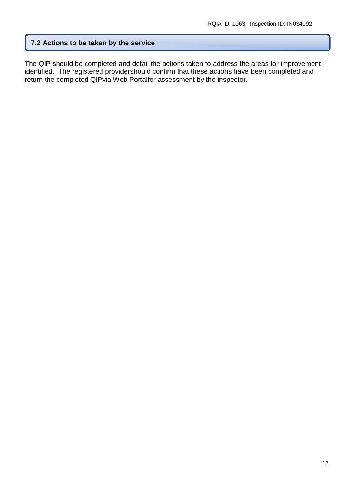#### **7.2 Actions to be taken by the service**

The QIP should be completed and detail the actions taken to address the areas for improvement identified. The registered providershould confirm that these actions have been completed and return the completed QIPvia Web Portalfor assessment by the inspector.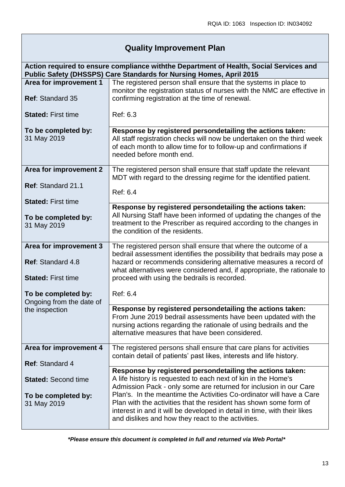# **Quality Improvement Plan**

| Action required to ensure compliance withthe Department of Health, Social Services and<br>Public Safety (DHSSPS) Care Standards for Nursing Homes, April 2015 |                                                                                                                                                                                                                                                                                                                                                                                                                                                                                |
|---------------------------------------------------------------------------------------------------------------------------------------------------------------|--------------------------------------------------------------------------------------------------------------------------------------------------------------------------------------------------------------------------------------------------------------------------------------------------------------------------------------------------------------------------------------------------------------------------------------------------------------------------------|
| Area for improvement 1<br><b>Ref: Standard 35</b>                                                                                                             | The registered person shall ensure that the systems in place to<br>monitor the registration status of nurses with the NMC are effective in<br>confirming registration at the time of renewal.                                                                                                                                                                                                                                                                                  |
| <b>Stated: First time</b>                                                                                                                                     | Ref: 6.3                                                                                                                                                                                                                                                                                                                                                                                                                                                                       |
| To be completed by:<br>31 May 2019                                                                                                                            | Response by registered persondetailing the actions taken:<br>All staff registration checks will now be undertaken on the third week<br>of each month to allow time for to follow-up and confirmations if<br>needed before month end.                                                                                                                                                                                                                                           |
| Area for improvement 2<br>Ref: Standard 21.1<br><b>Stated: First time</b>                                                                                     | The registered person shall ensure that staff update the relevant<br>MDT with regard to the dressing regime for the identified patient.<br>Ref: 6.4                                                                                                                                                                                                                                                                                                                            |
| To be completed by:<br>31 May 2019                                                                                                                            | Response by registered persondetailing the actions taken:<br>All Nursing Staff have been informed of updating the changes of the<br>treatment to the Prescriber as required according to the changes in<br>the condition of the residents.                                                                                                                                                                                                                                     |
| Area for improvement 3<br>Ref: Standard 4.8<br><b>Stated: First time</b>                                                                                      | The registered person shall ensure that where the outcome of a<br>bedrail assessment identifies the possibility that bedrails may pose a<br>hazard or recommends considering alternative measures a record of<br>what alternatives were considered and, if appropriate, the rationale to<br>proceed with using the bedrails is recorded.                                                                                                                                       |
| To be completed by:<br>Ongoing from the date of<br>the inspection                                                                                             | Ref: 6.4<br>Response by registered persondetailing the actions taken:<br>From June 2019 bedrail assessments have been updated with the<br>nursing actions regarding the rationale of using bedrails and the<br>alternative measures that have been considered.                                                                                                                                                                                                                 |
| Area for improvement 4<br>Ref: Standard 4                                                                                                                     | The registered persons shall ensure that care plans for activities<br>contain detail of patients' past likes, interests and life history.                                                                                                                                                                                                                                                                                                                                      |
| <b>Stated: Second time</b><br>To be completed by:<br>31 May 2019                                                                                              | Response by registered persondetailing the actions taken:<br>A life history is requested to each next of kin in the Home's<br>Admission Pack - only some are returned for inclusion in our Care<br>Plan's. In the meantime the Activities Co-ordinator will have a Care<br>Plan with the activities that the resident has shown some form of<br>interest in and it will be developed in detail in time, with their likes<br>and dislikes and how they react to the activities. |

*\*Please ensure this document is completed in full and returned via Web Portal\**